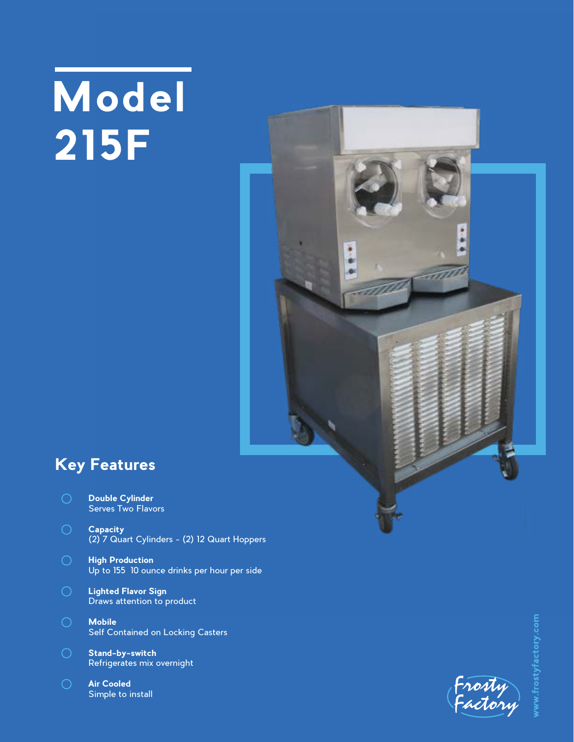## **Model 215F**



## **Key Features**

- **Double Cylinder** Serves Two Flavors
- **Capacity** (2) 7 Quart Cylinders - (2) 12 Quart Hoppers
- **High Production** Up to 155 10 ounce drinks per hour per side
- **Lighted Flavor Sign** Draws attention to product
- **Mobile** Self Contained on Locking Casters
- **Stand-by-switch** Refrigerates mix overnight
- **Air Cooled** Simple to install